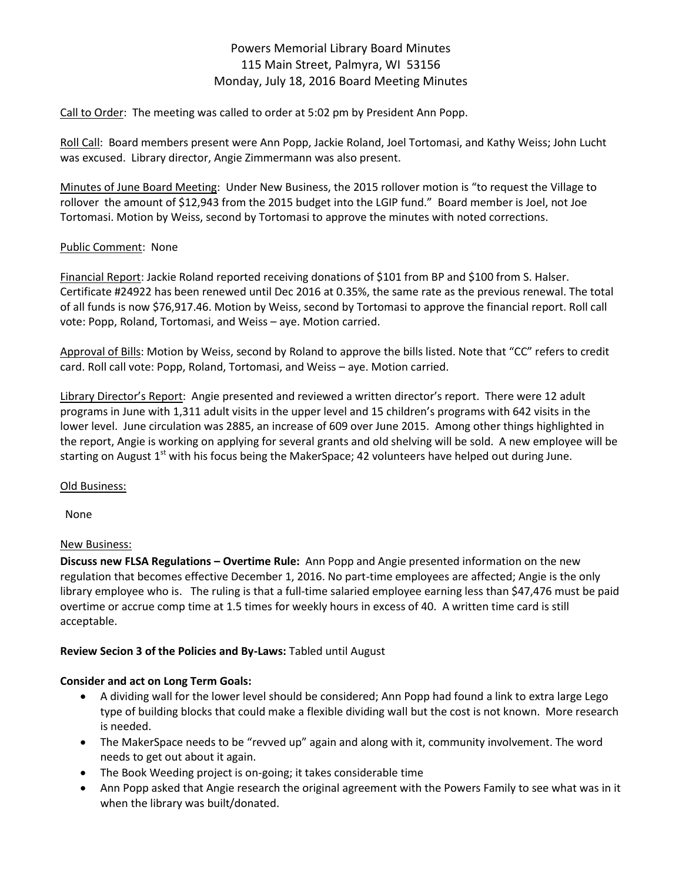# Powers Memorial Library Board Minutes 115 Main Street, Palmyra, WI 53156 Monday, July 18, 2016 Board Meeting Minutes

Call to Order: The meeting was called to order at 5:02 pm by President Ann Popp.

Roll Call: Board members present were Ann Popp, Jackie Roland, Joel Tortomasi, and Kathy Weiss; John Lucht was excused. Library director, Angie Zimmermann was also present.

Minutes of June Board Meeting: Under New Business, the 2015 rollover motion is "to request the Village to rollover the amount of \$12,943 from the 2015 budget into the LGIP fund." Board member is Joel, not Joe Tortomasi. Motion by Weiss, second by Tortomasi to approve the minutes with noted corrections.

### Public Comment: None

Financial Report: Jackie Roland reported receiving donations of \$101 from BP and \$100 from S. Halser. Certificate #24922 has been renewed until Dec 2016 at 0.35%, the same rate as the previous renewal. The total of all funds is now \$76,917.46. Motion by Weiss, second by Tortomasi to approve the financial report. Roll call vote: Popp, Roland, Tortomasi, and Weiss – aye. Motion carried.

Approval of Bills: Motion by Weiss, second by Roland to approve the bills listed. Note that "CC" refers to credit card. Roll call vote: Popp, Roland, Tortomasi, and Weiss – aye. Motion carried.

Library Director's Report: Angie presented and reviewed a written director's report. There were 12 adult programs in June with 1,311 adult visits in the upper level and 15 children's programs with 642 visits in the lower level. June circulation was 2885, an increase of 609 over June 2015. Among other things highlighted in the report, Angie is working on applying for several grants and old shelving will be sold. A new employee will be starting on August 1<sup>st</sup> with his focus being the MakerSpace; 42 volunteers have helped out during June.

## Old Business:

None

## New Business:

**Discuss new FLSA Regulations – Overtime Rule:** Ann Popp and Angie presented information on the new regulation that becomes effective December 1, 2016. No part-time employees are affected; Angie is the only library employee who is. The ruling is that a full-time salaried employee earning less than \$47,476 must be paid overtime or accrue comp time at 1.5 times for weekly hours in excess of 40. A written time card is still acceptable.

## **Review Secion 3 of the Policies and By-Laws:** Tabled until August

## **Consider and act on Long Term Goals:**

- A dividing wall for the lower level should be considered; Ann Popp had found a link to extra large Lego type of building blocks that could make a flexible dividing wall but the cost is not known. More research is needed.
- The MakerSpace needs to be "revved up" again and along with it, community involvement. The word needs to get out about it again.
- The Book Weeding project is on-going; it takes considerable time
- Ann Popp asked that Angie research the original agreement with the Powers Family to see what was in it when the library was built/donated.